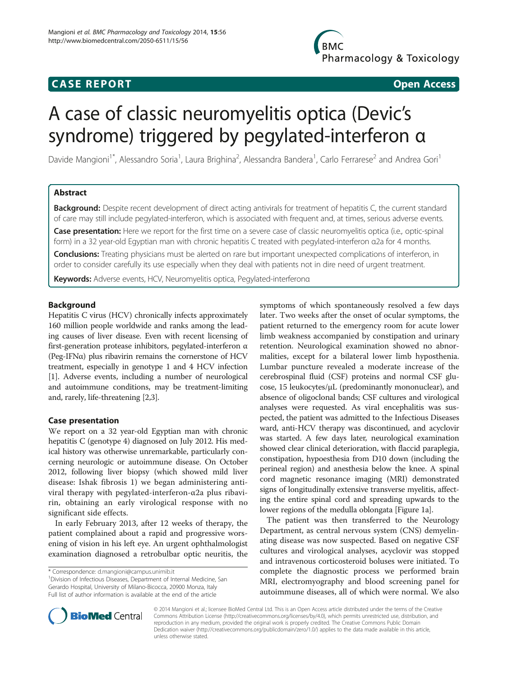## **CASE REPORT CASE REPORT CASE REPORT**

**BMC** Pharmacology & Toxicology

# A case of classic neuromyelitis optica (Devic's syndrome) triggered by pegylated-interferon α

Davide Mangioni<sup>1\*</sup>, Alessandro Soria<sup>1</sup>, Laura Brighina<sup>2</sup>, Alessandra Bandera<sup>1</sup>, Carlo Ferrarese<sup>2</sup> and Andrea Gori<sup>1</sup>

### Abstract

Background: Despite recent development of direct acting antivirals for treatment of hepatitis C, the current standard of care may still include pegylated-interferon, which is associated with frequent and, at times, serious adverse events.

Case presentation: Here we report for the first time on a severe case of classic neuromyelitis optica (i.e., optic-spinal form) in a 32 year-old Egyptian man with chronic hepatitis C treated with pegylated-interferon α2a for 4 months.

Conclusions: Treating physicians must be alerted on rare but important unexpected complications of interferon, in order to consider carefully its use especially when they deal with patients not in dire need of urgent treatment.

Keywords: Adverse events, HCV, Neuromyelitis optica, Pegylated-interferona

#### Background

Hepatitis C virus (HCV) chronically infects approximately 160 million people worldwide and ranks among the leading causes of liver disease. Even with recent licensing of first-generation protease inhibitors, pegylated-interferon α (Peg-IFNα) plus ribavirin remains the cornerstone of HCV treatment, especially in genotype 1 and 4 HCV infection [[1\]](#page-2-0). Adverse events, including a number of neurological and autoimmune conditions, may be treatment-limiting and, rarely, life-threatening [\[2,3\]](#page-2-0).

#### Case presentation

We report on a 32 year-old Egyptian man with chronic hepatitis C (genotype 4) diagnosed on July 2012. His medical history was otherwise unremarkable, particularly concerning neurologic or autoimmune disease. On October 2012, following liver biopsy (which showed mild liver disease: Ishak fibrosis 1) we began administering antiviral therapy with pegylated-interferon-α2a plus ribavirin, obtaining an early virological response with no significant side effects.

In early February 2013, after 12 weeks of therapy, the patient complained about a rapid and progressive worsening of vision in his left eye. An urgent ophthalmologist examination diagnosed a retrobulbar optic neuritis, the

\* Correspondence: [d.mangioni@campus.unimib.it](mailto:d.mangioni@campus.unimib.it) <sup>1</sup>

<sup>1</sup> Division of Infectious Diseases, Department of Internal Medicine, San Gerardo Hospital, University of Milano-Bicocca, 20900 Monza, Italy Full list of author information is available at the end of the article

symptoms of which spontaneously resolved a few days later. Two weeks after the onset of ocular symptoms, the patient returned to the emergency room for acute lower limb weakness accompanied by constipation and urinary retention. Neurological examination showed no abnormalities, except for a bilateral lower limb hyposthenia. Lumbar puncture revealed a moderate increase of the cerebrospinal fluid (CSF) proteins and normal CSF glucose, 15 leukocytes/μL (predominantly mononuclear), and absence of oligoclonal bands; CSF cultures and virological analyses were requested. As viral encephalitis was suspected, the patient was admitted to the Infectious Diseases ward, anti-HCV therapy was discontinued, and acyclovir was started. A few days later, neurological examination showed clear clinical deterioration, with flaccid paraplegia, constipation, hypoesthesia from D10 down (including the perineal region) and anesthesia below the knee. A spinal cord magnetic resonance imaging (MRI) demonstrated signs of longitudinally extensive transverse myelitis, affecting the entire spinal cord and spreading upwards to the lower regions of the medulla oblongata [Figure [1a](#page-1-0)].

The patient was then transferred to the Neurology Department, as central nervous system (CNS) demyelinating disease was now suspected. Based on negative CSF cultures and virological analyses, acyclovir was stopped and intravenous corticosteroid boluses were initiated. To complete the diagnostic process we performed brain MRI, electromyography and blood screening panel for autoimmune diseases, all of which were normal. We also



© 2014 Mangioni et al.; licensee BioMed Central Ltd. This is an Open Access article distributed under the terms of the Creative Commons Attribution License [\(http://creativecommons.org/licenses/by/4.0\)](http://creativecommons.org/licenses/by/4.0), which permits unrestricted use, distribution, and reproduction in any medium, provided the original work is properly credited. The Creative Commons Public Domain Dedication waiver [\(http://creativecommons.org/publicdomain/zero/1.0/](http://creativecommons.org/publicdomain/zero/1.0/)) applies to the data made available in this article, unless otherwise stated.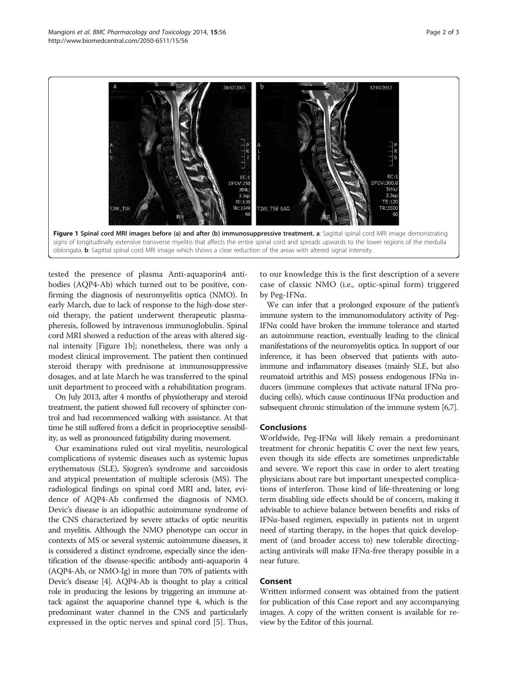<span id="page-1-0"></span>

tested the presence of plasma Anti-aquaporin4 antibodies (AQP4-Ab) which turned out to be positive, confirming the diagnosis of neuromyelitis optica (NMO). In early March, due to lack of response to the high-dose steroid therapy, the patient underwent therapeutic plasmapheresis, followed by intravenous immunoglobulin. Spinal cord MRI showed a reduction of the areas with altered signal intensity [Figure 1b]; nonetheless, there was only a modest clinical improvement. The patient then continued steroid therapy with prednisone at immunosuppressive dosages, and at late March he was transferred to the spinal unit department to proceed with a rehabilitation program.

On July 2013, after 4 months of physiotherapy and steroid treatment, the patient showed full recovery of sphincter control and had recommenced walking with assistance. At that time he still suffered from a deficit in proprioceptive sensibility, as well as pronounced fatigability during movement.

Our examinations ruled out viral myelitis, neurological complications of systemic diseases such as systemic lupus erythematous (SLE), Sjogren's syndrome and sarcoidosis and atypical presentation of multiple sclerosis (MS). The radiological findings on spinal cord MRI and, later, evidence of AQP4-Ab confirmed the diagnosis of NMO. Devic's disease is an idiopathic autoimmune syndrome of the CNS characterized by severe attacks of optic neuritis and myelitis. Although the NMO phenotype can occur in contexts of MS or several systemic autoimmune diseases, it is considered a distinct syndrome, especially since the identification of the disease-specific antibody anti-aquaporin 4 (AQP4-Ab, or NMO-Ig) in more than 70% of patients with Devic's disease [\[4\]](#page-2-0). AQP4-Ab is thought to play a critical role in producing the lesions by triggering an immune attack against the aquaporine channel type 4, which is the predominant water channel in the CNS and particularly expressed in the optic nerves and spinal cord [\[5](#page-2-0)]. Thus,

to our knowledge this is the first description of a severe case of classic NMO (i.e., optic-spinal form) triggered by Peg-IFNα.

We can infer that a prolonged exposure of the patient's immune system to the immunomodulatory activity of Peg-IFNα could have broken the immune tolerance and started an autoimmune reaction, eventually leading to the clinical manifestations of the neuromyelitis optica. In support of our inference, it has been observed that patients with autoimmune and inflammatory diseases (mainly SLE, but also reumatoid artrithis and MS) possess endogenous IFNα inducers (immune complexes that activate natural IFNα producing cells), which cause continuous IFNα production and subsequent chronic stimulation of the immune system [\[6,7](#page-2-0)].

#### **Conclusions**

Worldwide, Peg-IFNα will likely remain a predominant treatment for chronic hepatitis C over the next few years, even though its side effects are sometimes unpredictable and severe. We report this case in order to alert treating physicians about rare but important unexpected complications of interferon. Those kind of life-threatening or long term disabling side effects should be of concern, making it advisable to achieve balance between benefits and risks of IFNα-based regimen, especially in patients not in urgent need of starting therapy, in the hopes that quick development of (and broader access to) new tolerable directingacting antivirals will make IFNα-free therapy possible in a near future.

#### Consent

Written informed consent was obtained from the patient for publication of this Case report and any accompanying images. A copy of the written consent is available for review by the Editor of this journal.